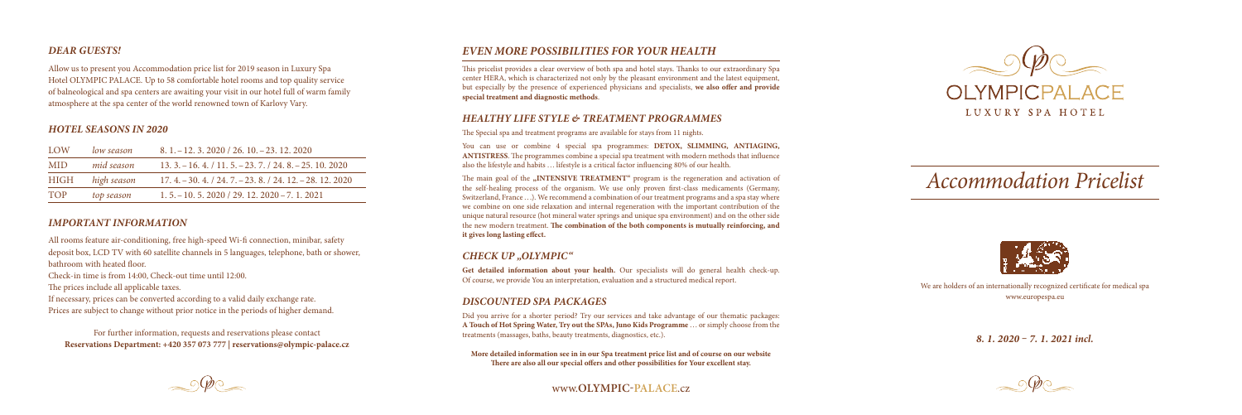*8. 1. 2020 – 7. 1. 2021 incl.*

# *Accommodation Pricelist*



#### *Dear Guests!*

Allow us to present you Accommodation price list for 2019 season in Luxury Spa Hotel OLYMPIC PALACE. Up to 58 comfortable hotel rooms and top quality service of balneological and spa centers are awaiting your visit in our hotel full of warm family atmosphere at the spa center of the world renowned town of Karlovy Vary.

### *Hotel Seasons in 2020*

| LOW        | low season  | $8, 1, -12, 3, 2020 / 26, 10, -23, 12, 2020$               |
|------------|-------------|------------------------------------------------------------|
| <b>MID</b> | mid season  | $13.3 - 16.4$ , $/ 11.5 - 23.7$ , $/ 24.8 - 25.10$ , 2020  |
| HIGH       | high season | $17.4 - 30.4$ , $/ 24.7 - 23.8$ , $/ 24.12 - 28.12$ , 2020 |
| <b>TOP</b> | top season  | $1, 5, -10, 5, 2020 / 29, 12, 2020 - 7, 1, 2021$           |

### *Important information*

All rooms feature air-conditioning, free high-speed Wi-fi connection, minibar, safety deposit box, LCD TV with 60 satellite channels in 5 languages, telephone, bath or shower, bathroom with heated floor.

Check-in time is from 14:00, Check-out time until 12:00.

The prices include all applicable taxes.

If necessary, prices can be converted according to a valid daily exchange rate. Prices are subject to change without prior notice in the periods of higher demand.

For further information, requests and reservations please contact **Reservations Department: +420 357 073 777 | reservations@olympic-palace.cz**

# *E VEN MORE POSSIBILITIES FOR YOUR HEALTH*

The main goal of the **"INTENSIVE TREATMENT"** program is the regeneration and activation of the self-healing process of the organism. We use only proven first-class medicaments (Germany, Switzerland, France . . .). We recommend a combination of our treatment programs and a spa stay where we combine on one side relaxation and internal regeneration with the important contribution of the unique natural resource (hot mineral water springs and unique spa environment) and on the other side the new modern treatment. **The combination of the both components is mutually reinforcing, and it gives long lasting effect.**

Get detailed information about your health. Our specialists will do general health check-up. Of course, we provide You an interpretation, evaluation and a structured medical report.

This pricelist provides a clear overview of both spa and hotel stays. Thanks to our extraordinary Spa center HERA, which is characterized not only by the pleasant environment and the latest equipment, but especially by the presence of experienced physicians and specialists, **we also offer and provide special treatment and diagnostic methods** .

## *HEALTHY LIFE STYLE & TREATMENT PROGR.*

The Special spa and treatment programs are available for stays from 11 nights.

You can use or combine 4 special spa programmes: **DETOX, SLIMMING, ANTIAGING**, **ANTISTRESS**. The programmes combine a special spa treatment with modern methods that influence also the lifestyle and habits . . . lifestyle is a critical factor influencing 80% of our health.

## *CHECK UP "OL YMPIC"*

### *DISCOUNTED SPA PACKAGES*

Did you arrive for a shorter period? Try our services and take advantage of our thematic packages: A Touch of Hot Spring Water, Try out the SPAs, Juno Kids Programme ... or simply choose from the treatments (massages, baths, beauty treatments, diagnostics, etc.).

**More detailed information see in in our Spa treatment price list and of course on our website There are also all our special offers and other possibilities for Your excellent stay.**



www.**olympic-palace**.cz



We are holders of an internationally recognized certificate for medical spa www.europespa.eu